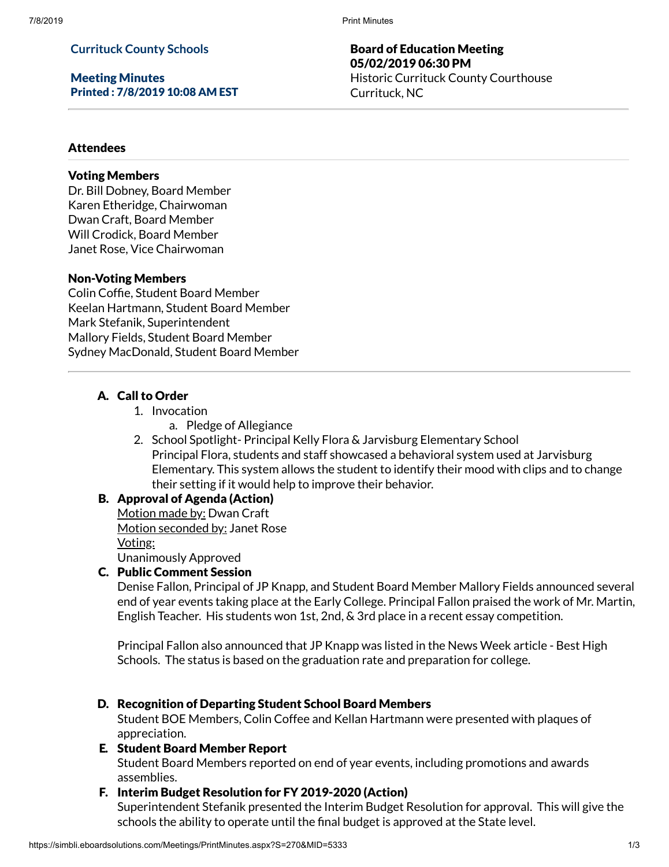7/8/2019 Print Minutes

## **Currituck County Schools**

Meeting Minutes Printed : 7/8/2019 10:08 AM EST

Board of Education Meeting 05/02/2019 06:30 PM Historic Currituck County Courthouse Currituck, NC

#### **Attendees**

## Voting Members

Dr. Bill Dobney, Board Member Karen Etheridge, Chairwoman Dwan Craft, Board Member Will Crodick, Board Member Janet Rose, Vice Chairwoman

#### Non-Voting Members

Colin Coffie, Student Board Member Keelan Hartmann, Student Board Member Mark Stefanik, Superintendent Mallory Fields, Student Board Member Sydney MacDonald, Student Board Member

## A. Call to Order

- 1. Invocation
	- a. Pledge of Allegiance
- 2. School Spotlight- Principal Kelly Flora & Jarvisburg Elementary School Principal Flora, students and staff showcased a behavioral system used at Jarvisburg Elementary. This system allows the student to identify their mood with clips and to change their setting if it would help to improve their behavior.

#### B. Approval of Agenda (Action)

Motion made by: Dwan Craft Motion seconded by: Janet Rose Voting: Unanimously Approved

#### C. Public Comment Session

Denise Fallon, Principal of JP Knapp, and Student Board Member Mallory Fields announced several end of year events taking place at the Early College. Principal Fallon praised the work of Mr. Martin, English Teacher. His students won 1st, 2nd, & 3rd place in a recent essay competition.

Principal Fallon also announced that JP Knapp was listed in the News Week article - Best High Schools. The status is based on the graduation rate and preparation for college.

#### D. Recognition of Departing Student School Board Members

Student BOE Members, Colin Coffee and Kellan Hartmann were presented with plaques of appreciation.

#### E. Student Board Member Report

Student Board Members reported on end of year events, including promotions and awards assemblies.

#### F. Interim Budget Resolution for FY 2019-2020 (Action)

Superintendent Stefanik presented the Interim Budget Resolution for approval. This will give the schools the ability to operate until the final budget is approved at the State level.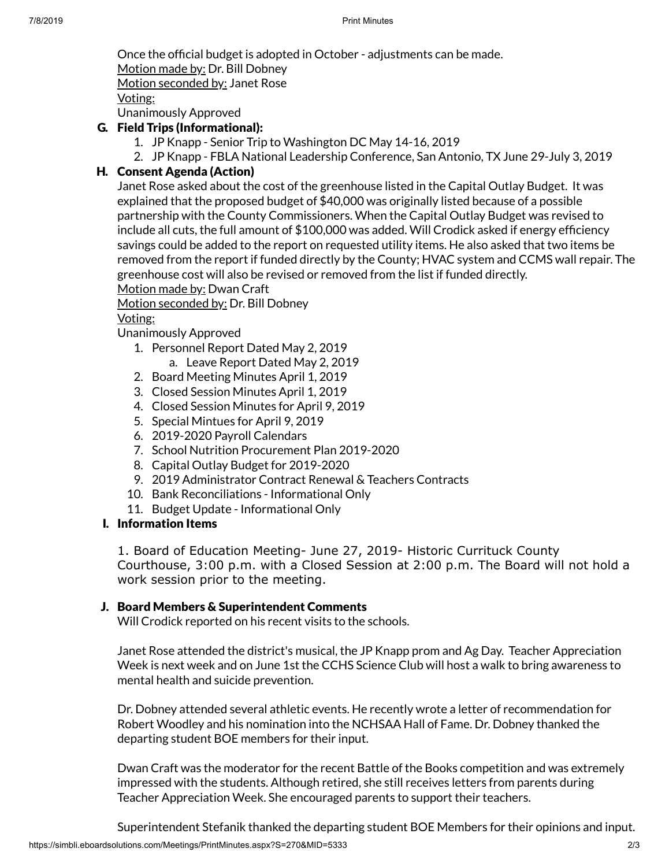Once the official budget is adopted in October - adjustments can be made.

Motion made by: Dr. Bill Dobney

Motion seconded by: Janet Rose

Voting:

Unanimously Approved

# G. Field Trips (Informational):

- 1. JP Knapp Senior Trip to Washington DC May 14-16, 2019
- 2. JP Knapp FBLA National Leadership Conference, San Antonio, TX June 29-July 3, 2019

## H. Consent Agenda (Action)

Janet Rose asked about the cost of the greenhouse listed in the Capital Outlay Budget. It was explained that the proposed budget of \$40,000 was originally listed because of a possible partnership with the County Commissioners. When the Capital Outlay Budget was revised to include all cuts, the full amount of  $$100,000$  was added. Will Crodick asked if energy efficiency savings could be added to the report on requested utility items. He also asked that two items be removed from the report if funded directly by the County; HVAC system and CCMS wall repair. The greenhouse cost will also be revised or removed from the list if funded directly.

Motion made by: Dwan Craft

Motion seconded by: Dr. Bill Dobney

## Voting:

Unanimously Approved

- 1. Personnel Report Dated May 2, 2019 a. Leave Report Dated May 2, 2019
- 2. Board Meeting Minutes April 1, 2019
- 3. Closed Session Minutes April 1, 2019
- 4. Closed Session Minutes for April 9, 2019
- 5. Special Mintues for April 9, 2019
- 6. 2019-2020 Payroll Calendars
- 7. School Nutrition Procurement Plan 2019-2020
- 8. Capital Outlay Budget for 2019-2020
- 9. 2019 Administrator Contract Renewal & Teachers Contracts
- 10. Bank Reconciliations Informational Only
- 11. Budget Update Informational Only

## I. Information Items

1. Board of Education Meeting- June 27, 2019- Historic Currituck County Courthouse, 3:00 p.m. with a Closed Session at 2:00 p.m. The Board will not hold a work session prior to the meeting.

## J. Board Members & Superintendent Comments

Will Crodick reported on his recent visits to the schools.

Janet Rose attended the district's musical, the JP Knapp prom and Ag Day. Teacher Appreciation Week is next week and on June 1st the CCHS Science Club will host a walk to bring awareness to mental health and suicide prevention.

Dr. Dobney attended several athletic events. He recently wrote a letter of recommendation for Robert Woodley and his nomination into the NCHSAA Hall of Fame. Dr. Dobney thanked the departing student BOE members for their input.

Dwan Craft was the moderator for the recent Battle of the Books competition and was extremely impressed with the students. Although retired, she still receives letters from parents during Teacher Appreciation Week. She encouraged parents to support their teachers.

Superintendent Stefanik thanked the departing student BOE Members for their opinions and input.